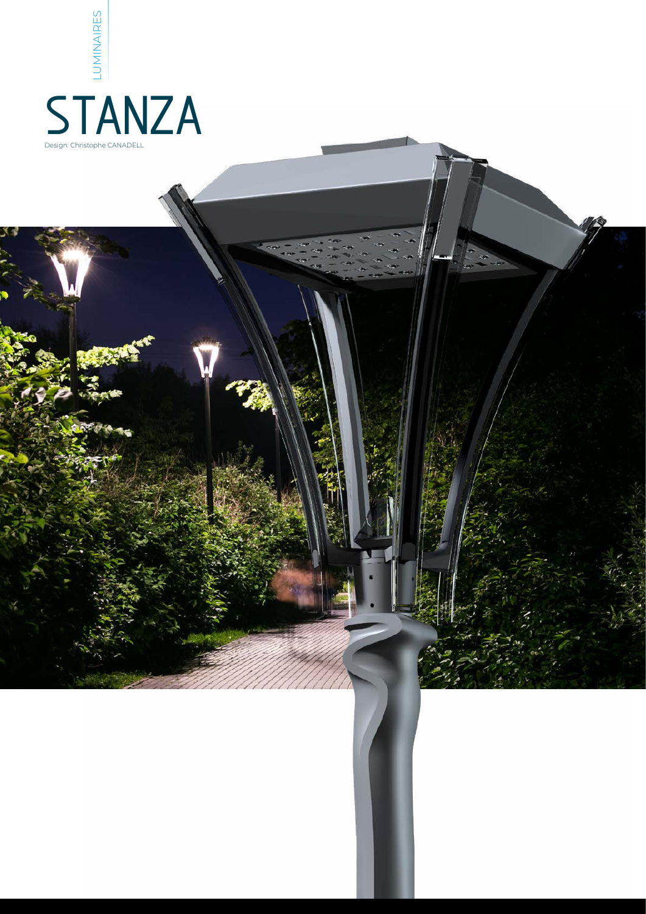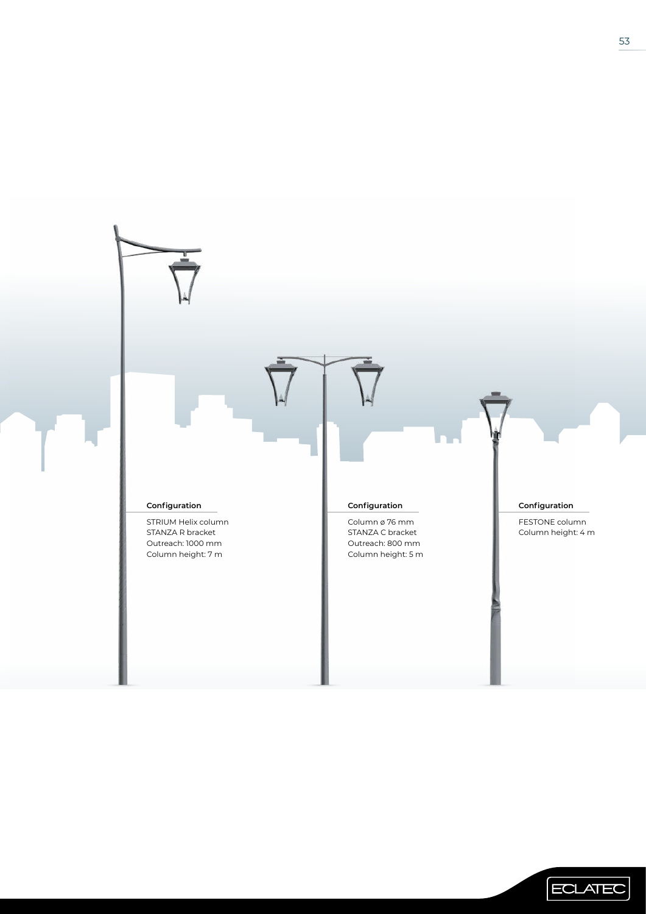

ECLATEC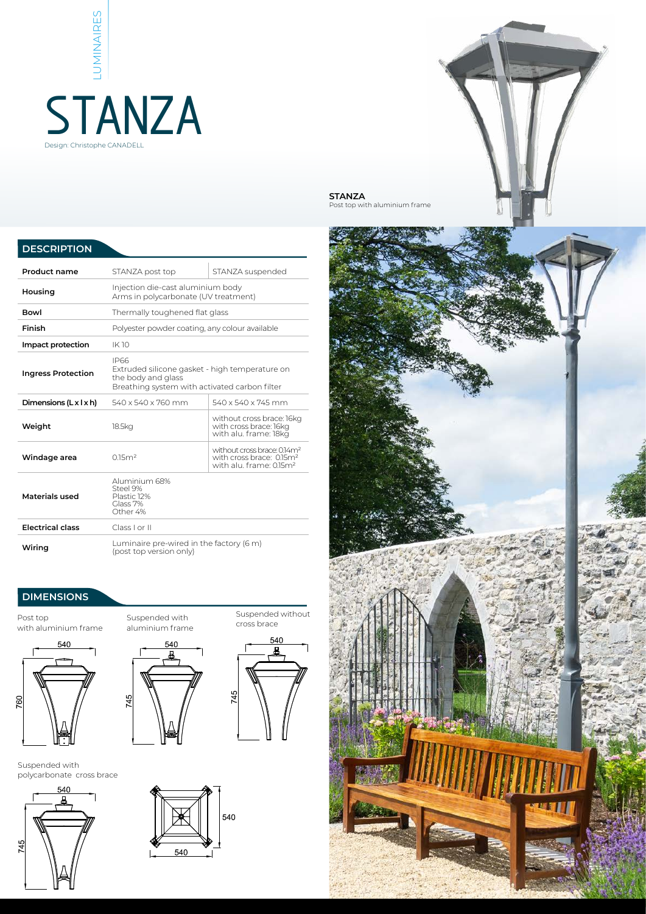# LUMINAIRES **STANZA** Design: Christophe CANADELL



Post top with aluminium frame



## **DIMENSIONS**

Post top with aluminium frame



Suspended with polycarbonate cross brace





Suspended with